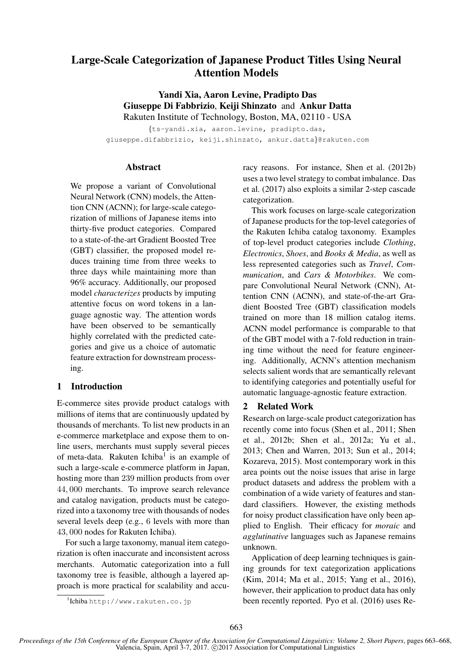# Large-Scale Categorization of Japanese Product Titles Using Neural Attention Models

Yandi Xia, Aaron Levine, Pradipto Das Giuseppe Di Fabbrizio, Keiji Shinzato and Ankur Datta Rakuten Institute of Technology, Boston, MA, 02110 - USA

{ts-yandi.xia, aaron.levine, pradipto.das, giuseppe.difabbrizio, keiji.shinzato, ankur.datta}@rakuten.com

# **Abstract**

We propose a variant of Convolutional Neural Network (CNN) models, the Attention CNN (ACNN); for large-scale categorization of millions of Japanese items into thirty-five product categories. Compared to a state-of-the-art Gradient Boosted Tree (GBT) classifier, the proposed model reduces training time from three weeks to three days while maintaining more than 96% accuracy. Additionally, our proposed model *characterizes* products by imputing attentive focus on word tokens in a language agnostic way. The attention words have been observed to be semantically highly correlated with the predicted categories and give us a choice of automatic feature extraction for downstream processing.

# 1 Introduction

E-commerce sites provide product catalogs with millions of items that are continuously updated by thousands of merchants. To list new products in an e-commerce marketplace and expose them to online users, merchants must supply several pieces of meta-data. Rakuten Ichiba<sup>1</sup> is an example of such a large-scale e-commerce platform in Japan, hosting more than 239 million products from over 44, 000 merchants. To improve search relevance and catalog navigation, products must be categorized into a taxonomy tree with thousands of nodes several levels deep (e.g., 6 levels with more than 43, 000 nodes for Rakuten Ichiba).

For such a large taxonomy, manual item categorization is often inaccurate and inconsistent across merchants. Automatic categorization into a full taxonomy tree is feasible, although a layered approach is more practical for scalability and accuracy reasons. For instance, Shen et al. (2012b) uses a two level strategy to combat imbalance. Das et al. (2017) also exploits a similar 2-step cascade categorization.

This work focuses on large-scale categorization of Japanese products for the top-level categories of the Rakuten Ichiba catalog taxonomy. Examples of top-level product categories include *Clothing*, *Electronics*, *Shoes*, and *Books & Media*, as well as less represented categories such as *Travel*, *Communication*, and *Cars & Motorbikes*. We compare Convolutional Neural Network (CNN), Attention CNN (ACNN), and state-of-the-art Gradient Boosted Tree (GBT) classification models trained on more than 18 million catalog items. ACNN model performance is comparable to that of the GBT model with a 7-fold reduction in training time without the need for feature engineering. Additionally, ACNN's attention mechanism selects salient words that are semantically relevant to identifying categories and potentially useful for automatic language-agnostic feature extraction.

# 2 Related Work

Research on large-scale product categorization has recently come into focus (Shen et al., 2011; Shen et al., 2012b; Shen et al., 2012a; Yu et al., 2013; Chen and Warren, 2013; Sun et al., 2014; Kozareva, 2015). Most contemporary work in this area points out the noise issues that arise in large product datasets and address the problem with a combination of a wide variety of features and standard classifiers. However, the existing methods for noisy product classification have only been applied to English. Their efficacy for *moraic* and *agglutinative* languages such as Japanese remains unknown.

Application of deep learning techniques is gaining grounds for text categorization applications (Kim, 2014; Ma et al., 2015; Yang et al., 2016), however, their application to product data has only been recently reported. Pyo et al. (2016) uses Re-

<sup>1</sup> Ichiba http://www.rakuten.co.jp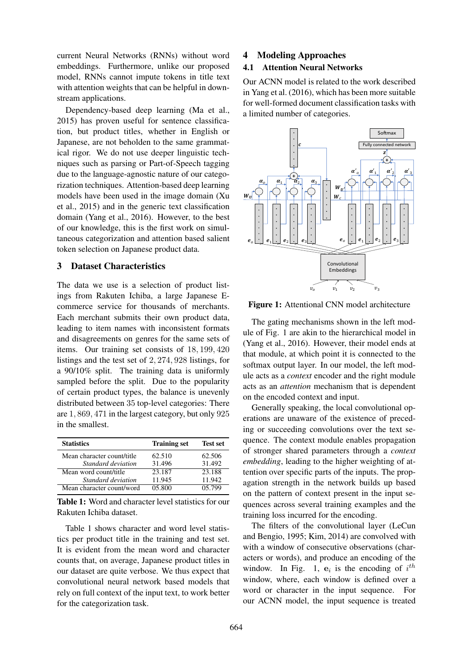current Neural Networks (RNNs) without word embeddings. Furthermore, unlike our proposed model, RNNs cannot impute tokens in title text with attention weights that can be helpful in downstream applications.

Dependency-based deep learning (Ma et al., 2015) has proven useful for sentence classification, but product titles, whether in English or Japanese, are not beholden to the same grammatical rigor. We do not use deeper linguistic techniques such as parsing or Part-of-Speech tagging due to the language-agnostic nature of our categorization techniques. Attention-based deep learning models have been used in the image domain (Xu et al., 2015) and in the generic text classification domain (Yang et al., 2016). However, to the best of our knowledge, this is the first work on simultaneous categorization and attention based salient token selection on Japanese product data.

### 3 Dataset Characteristics

The data we use is a selection of product listings from Rakuten Ichiba, a large Japanese Ecommerce service for thousands of merchants. Each merchant submits their own product data, leading to item names with inconsistent formats and disagreements on genres for the same sets of items. Our training set consists of 18, 199, 420 listings and the test set of 2, 274, 928 listings, for a 90/10% split. The training data is uniformly sampled before the split. Due to the popularity of certain product types, the balance is unevenly distributed between 35 top-level categories: There are 1, 869, 471 in the largest category, but only 925 in the smallest.

| <b>Statistics</b>          | <b>Training set</b> | <b>Test set</b> |
|----------------------------|---------------------|-----------------|
| Mean character count/title | 62.510              | 62.506          |
| Standard deviation         | 31.496              | 31.492          |
| Mean word count/title      | 23.187              | 23.188          |
| Standard deviation         | 11.945              | 11.942          |
| Mean character count/word  | 05.800              | 05.799          |

Table 1: Word and character level statistics for our Rakuten Ichiba dataset.

Table 1 shows character and word level statistics per product title in the training and test set. It is evident from the mean word and character counts that, on average, Japanese product titles in our dataset are quite verbose. We thus expect that convolutional neural network based models that rely on full context of the input text, to work better for the categorization task.

# 4 Modeling Approaches

# 4.1 Attention Neural Networks

Our ACNN model is related to the work described in Yang et al. (2016), which has been more suitable for well-formed document classification tasks with a limited number of categories.



Figure 1: Attentional CNN model architecture

The gating mechanisms shown in the left module of Fig. 1 are akin to the hierarchical model in (Yang et al., 2016). However, their model ends at that module, at which point it is connected to the softmax output layer. In our model, the left module acts as a *context* encoder and the right module acts as an *attention* mechanism that is dependent on the encoded context and input.

Generally speaking, the local convolutional operations are unaware of the existence of preceding or succeeding convolutions over the text sequence. The context module enables propagation of stronger shared parameters through a *context embedding*, leading to the higher weighting of attention over specific parts of the inputs. The propagation strength in the network builds up based on the pattern of context present in the input sequences across several training examples and the training loss incurred for the encoding.

The filters of the convolutional layer (LeCun and Bengio, 1995; Kim, 2014) are convolved with with a window of consecutive observations (characters or words), and produce an encoding of the window. In Fig. 1,  $e_i$  is the encoding of  $i^{th}$ window, where, each window is defined over a word or character in the input sequence. For our ACNN model, the input sequence is treated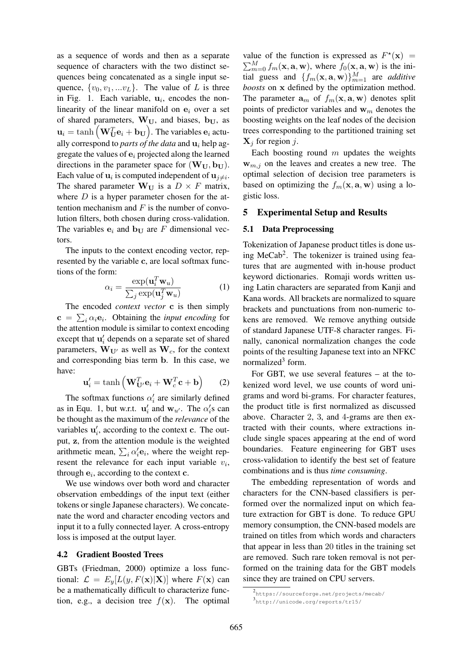as a sequence of words and then as a separate sequence of characters with the two distinct sequences being concatenated as a single input sequence,  $\{v_0, v_1, ... v_L\}$ . The value of L is three in Fig. 1. Each variable,  $\mathbf{u}_i$ , encodes the nonlinearity of the linear manifold on  $e_i$  over a set of shared parameters,  $W_U$ , and biases,  $b_U$ , as  $\mathbf{u}_i = \tanh\left(\mathbf{W}_{\mathbf{U}}^T\mathbf{e}_i + \mathbf{b}_{\mathbf{U}}\right)$ . The variables  $\mathbf{e}_i$  actually correspond to *parts of the data* and  $\mathbf{u}_i$  help aggregate the values of  $e_i$  projected along the learned directions in the parameter space for  $(\mathbf{W}_{\mathbf{U}}, \mathbf{b}_{\mathbf{U}})$ . Each value of  $\mathbf{u}_i$  is computed independent of  $\mathbf{u}_{j\neq i}$ . The shared parameter  $W_U$  is a  $D \times F$  matrix, where  $D$  is a hyper parameter chosen for the attention mechanism and  $F$  is the number of convolution filters, both chosen during cross-validation. The variables  $e_i$  and  $b_{\text{U}}$  are F dimensional vectors.

The inputs to the context encoding vector, represented by the variable c, are local softmax functions of the form:

$$
\alpha_i = \frac{\exp(\mathbf{u}_i^T \mathbf{w}_u)}{\sum_j \exp(\mathbf{u}_j^T \mathbf{w}_u)}
$$
(1)

The encoded *context vector* c is then simply  $\mathbf{c} = \sum_i \alpha_i \mathbf{e}_i$ . Obtaining the *input encoding* for the attention module is similar to context encoding except that  $\mathbf{u}'_i$  depends on a separate set of shared parameters,  $\mathbf{W}_{\mathbf{U}'}$  as well as  $\mathbf{W}_c$ , for the context and corresponding bias term b. In this case, we have:

$$
\mathbf{u}'_i = \tanh\left(\mathbf{W}_{\mathbf{U}'}^T \mathbf{e}_i + \mathbf{W}_c^T \mathbf{c} + \mathbf{b}\right) \tag{2}
$$

The softmax functions  $\alpha'_i$  are similarly defined as in Equ. 1, but w.r.t.  $\mathbf{u}'_i$  and  $\mathbf{w}_{u'}$ . The  $\alpha'_i$ s can be thought as the maximum of the *relevance* of the variables  $\mathbf{u}'_i$ , according to the context **c**. The output, z, from the attention module is the weighted arithmetic mean,  $\sum_i \alpha'_i \mathbf{e}_i$ , where the weight represent the relevance for each input variable  $v_i$ , through  $e_i$ , according to the context  $c$ .

We use windows over both word and character observation embeddings of the input text (either tokens or single Japanese characters). We concatenate the word and character encoding vectors and input it to a fully connected layer. A cross-entropy loss is imposed at the output layer.

#### 4.2 Gradient Boosted Trees

GBTs (Friedman, 2000) optimize a loss functional:  $\mathcal{L} = E_y[L(y, F(\mathbf{x})|\mathbf{X})]$  where  $F(\mathbf{x})$  can be a mathematically difficult to characterize function, e.g., a decision tree  $f(\mathbf{x})$ . The optimal

value of the function is expressed as  $F^*(\mathbf{x}) =$  $\sum_{m=0}^{M} f_m(\mathbf{x}, \mathbf{a}, \mathbf{w})$ , where  $f_0(\mathbf{x}, \mathbf{a}, \mathbf{w})$  is the initial guess and  $\{f_m(\mathbf{x}, \mathbf{a}, \mathbf{w})\}_{m=1}^M$  are *additive boosts* on x defined by the optimization method. The parameter  $\mathbf{a}_m$  of  $f_m(\mathbf{x}, \mathbf{a}, \mathbf{w})$  denotes split points of predictor variables and  $w_m$  denotes the boosting weights on the leaf nodes of the decision trees corresponding to the partitioned training set  $X_j$  for region j.

Each boosting round  $m$  updates the weights  $\mathbf{w}_{m,j}$  on the leaves and creates a new tree. The optimal selection of decision tree parameters is based on optimizing the  $f_m(\mathbf{x}, \mathbf{a}, \mathbf{w})$  using a logistic loss.

### 5 Experimental Setup and Results

### 5.1 Data Preprocessing

Tokenization of Japanese product titles is done using MeCab<sup>2</sup>. The tokenizer is trained using features that are augmented with in-house product keyword dictionaries. Romaji words written using Latin characters are separated from Kanji and Kana words. All brackets are normalized to square brackets and punctuations from non-numeric tokens are removed. We remove anything outside of standard Japanese UTF-8 character ranges. Finally, canonical normalization changes the code points of the resulting Japanese text into an NFKC normalized<sup>3</sup> form.

For GBT, we use several features – at the tokenized word level, we use counts of word unigrams and word bi-grams. For character features, the product title is first normalized as discussed above. Character 2, 3, and 4-grams are then extracted with their counts, where extractions include single spaces appearing at the end of word boundaries. Feature engineering for GBT uses cross-validation to identify the best set of feature combinations and is thus *time consuming*.

The embedding representation of words and characters for the CNN-based classifiers is performed over the normalized input on which feature extraction for GBT is done. To reduce GPU memory consumption, the CNN-based models are trained on titles from which words and characters that appear in less than 20 titles in the training set are removed. Such rare token removal is not performed on the training data for the GBT models since they are trained on CPU servers.

<sup>2</sup> https://sourceforge.net/projects/mecab/ 3 http://unicode.org/reports/tr15/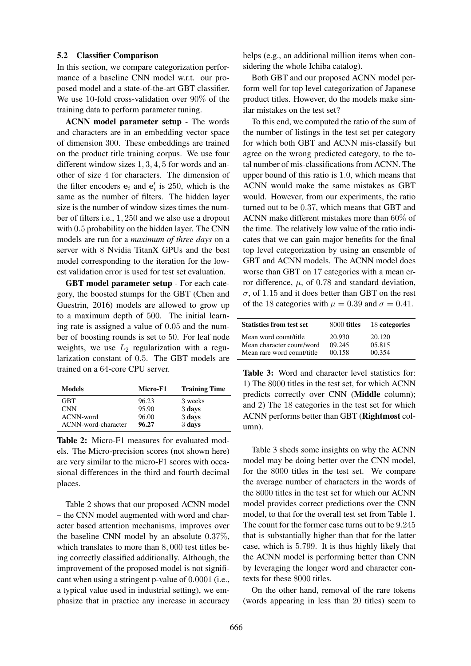### 5.2 Classifier Comparison

In this section, we compare categorization performance of a baseline CNN model w.r.t. our proposed model and a state-of-the-art GBT classifier. We use 10-fold cross-validation over 90% of the training data to perform parameter tuning.

ACNN model parameter setup - The words and characters are in an embedding vector space of dimension 300. These embeddings are trained on the product title training corpus. We use four different window sizes 1, 3, 4, 5 for words and another of size 4 for characters. The dimension of the filter encoders  $e_i$  and  $e'_i$  is 250, which is the same as the number of filters. The hidden layer size is the number of window sizes times the number of filters i.e., 1, 250 and we also use a dropout with 0.5 probability on the hidden layer. The CNN models are run for a *maximum of three days* on a server with 8 Nvidia TitanX GPUs and the best model corresponding to the iteration for the lowest validation error is used for test set evaluation.

GBT model parameter setup - For each category, the boosted stumps for the GBT (Chen and Guestrin, 2016) models are allowed to grow up to a maximum depth of 500. The initial learning rate is assigned a value of 0.05 and the number of boosting rounds is set to 50. For leaf node weights, we use  $L_2$  regularization with a regularization constant of 0.5. The GBT models are trained on a 64-core CPU server.

| <b>Models</b>       | Micro-F1 | <b>Training Time</b> |
|---------------------|----------|----------------------|
| GBT                 | 96.23    | 3 weeks              |
| <b>CNN</b>          | 95.90    | 3 days               |
| ACNN-word           | 96.00    | 3 days               |
| ACNN-word-character | 96.27    | 3 days               |

Table 2: Micro-F1 measures for evaluated models. The Micro-precision scores (not shown here) are very similar to the micro-F1 scores with occasional differences in the third and fourth decimal places.

Table 2 shows that our proposed ACNN model – the CNN model augmented with word and character based attention mechanisms, improves over the baseline CNN model by an absolute 0.37%, which translates to more than 8, 000 test titles being correctly classified additionally. Although, the improvement of the proposed model is not significant when using a stringent p-value of 0.0001 (i.e., a typical value used in industrial setting), we emphasize that in practice any increase in accuracy helps (e.g., an additional million items when considering the whole Ichiba catalog).

Both GBT and our proposed ACNN model perform well for top level categorization of Japanese product titles. However, do the models make similar mistakes on the test set?

To this end, we computed the ratio of the sum of the number of listings in the test set per category for which both GBT and ACNN mis-classify but agree on the wrong predicted category, to the total number of mis-classifications from ACNN. The upper bound of this ratio is 1.0, which means that ACNN would make the same mistakes as GBT would. However, from our experiments, the ratio turned out to be 0.37, which means that GBT and ACNN make different mistakes more than 60% of the time. The relatively low value of the ratio indicates that we can gain major benefits for the final top level categorization by using an ensemble of GBT and ACNN models. The ACNN model does worse than GBT on 17 categories with a mean error difference,  $\mu$ , of 0.78 and standard deviation,  $\sigma$ , of 1.15 and it does better than GBT on the rest of the 18 categories with  $\mu = 0.39$  and  $\sigma = 0.41$ .

| 20.120<br>05.815<br>00.354 |
|----------------------------|
|                            |

Table 3: Word and character level statistics for: 1) The 8000 titles in the test set, for which ACNN predicts correctly over CNN (Middle column); and 2) The 18 categories in the test set for which ACNN performs better than GBT (Rightmost column).

Table 3 sheds some insights on why the ACNN model may be doing better over the CNN model, for the 8000 titles in the test set. We compare the average number of characters in the words of the 8000 titles in the test set for which our ACNN model provides correct predictions over the CNN model, to that for the overall test set from Table 1. The count for the former case turns out to be 9.245 that is substantially higher than that for the latter case, which is 5.799. It is thus highly likely that the ACNN model is performing better than CNN by leveraging the longer word and character contexts for these 8000 titles.

On the other hand, removal of the rare tokens (words appearing in less than 20 titles) seem to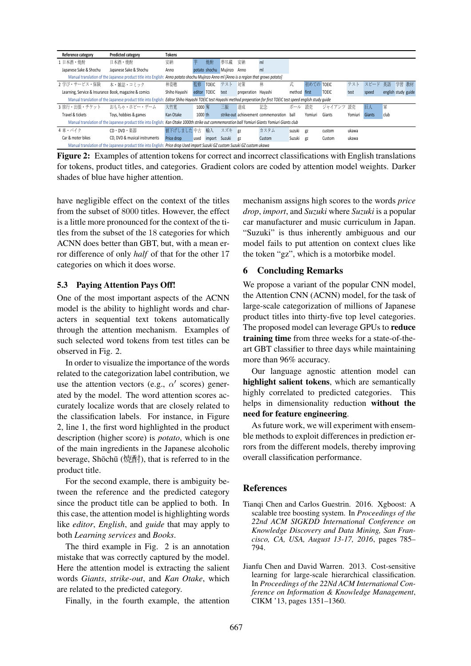| Reference category                                                                                                                               | Predicted category                                             | Tokens        |         |               |              |                     |                                                                                                           |              |            |              |         |        |                     |  |       |
|--------------------------------------------------------------------------------------------------------------------------------------------------|----------------------------------------------------------------|---------------|---------|---------------|--------------|---------------------|-----------------------------------------------------------------------------------------------------------|--------------|------------|--------------|---------|--------|---------------------|--|-------|
| 1日本酒・焼酎                                                                                                                                          | 日本酒・焼酎                                                         | 安納            | 芉       | 焼酎            | 夢尽蔵          | 安納                  | ml                                                                                                        |              |            |              |         |        |                     |  |       |
| Japanese Sake & Shochu                                                                                                                           | Japanese Sake & Shochu                                         | Anno          |         | potato shochu | Mujinzo Anno |                     | ml                                                                                                        |              |            |              |         |        |                     |  |       |
| Manual translation of the Japanese product title into English: Anno potato shochu Mujinzo Anno ml (Anno is a region that grows potato)           |                                                                |               |         |               |              |                     |                                                                                                           |              |            |              |         |        |                     |  |       |
| 2 学び・サービス・保険                                                                                                                                     | 本・雑誌・コミック                                                      | 林姿穂           | 監修      | <b>TOEIC</b>  | テスト          | 対策                  | 林                                                                                                         | 式            | 初めての TOEIC |              | テスト     | スピード   | 英語                  |  | 学習 教材 |
| Learning, Service & Insurance Book, magazine & comics                                                                                            |                                                                | Shiho Havashi |         | editor TOEIC  | test         | preperation Havashi |                                                                                                           | method first |            | <b>TOEIC</b> | test    | speed  | english study guide |  |       |
|                                                                                                                                                  | Manual translation of the Japanese product title into English: |               |         |               |              |                     | Editor Shiho Hayashi TOEIC test Hayashi method preperation for first TOEIC test speed english study quide |              |            |              |         |        |                     |  |       |
| 3旅行・出張・チケット                                                                                                                                      | おもちゃ・ホビー・ゲーム                                                   | 大竹寛           | 1000 奪  |               | 三振           | 達成                  | 記念                                                                                                        | ボール 読売       |            | ジャイアンツ       | 読売      | 巨人     | 軍                   |  |       |
| Travel & tickets                                                                                                                                 | Toys, hobbies & games                                          | Kan Otake     | 1000 th |               |              |                     | strike-out achievement commemoration ball                                                                 |              | Yomiuri    | Giants       | Yomiuri | Giants | club                |  |       |
| Manual translation of the Japanese product title into English: Kan Otake 1000th strike out commemoration ball Yomiuri Giants Yomiuri Giants club |                                                                |               |         |               |              |                     |                                                                                                           |              |            |              |         |        |                     |  |       |
| 4 車・バイク                                                                                                                                          | CD・DVD・楽器                                                      | 値下げしました中古     |         | 輸入            | スズキ          | gz                  | カスタム                                                                                                      | suzuki gz    |            | custom       | ukawa   |        |                     |  |       |
| Car & moter bikes                                                                                                                                | CD. DVD & musical instruments                                  | Price drop    | used    | import        | Suzuki       | gz                  | Custom                                                                                                    | Suzuki       | gz         | Custom       | ukawa   |        |                     |  |       |
| Manual translation of the Japanese product title into English: Price drop Used import Suzuki GZ custom Suzuki GZ custom ukawa                    |                                                                |               |         |               |              |                     |                                                                                                           |              |            |              |         |        |                     |  |       |

Figure 2: Examples of attention tokens for correct and incorrect classifications with English translations for tokens, product titles, and categories. Gradient colors are coded by attention model weights. Darker shades of blue have higher attention.

have negligible effect on the context of the titles from the subset of 8000 titles. However, the effect is a little more pronounced for the context of the titles from the subset of the 18 categories for which ACNN does better than GBT, but, with a mean error difference of only *half* of that for the other 17 categories on which it does worse.

### 5.3 Paying Attention Pays Off!

One of the most important aspects of the ACNN model is the ability to highlight words and characters in sequential text tokens automatically through the attention mechanism. Examples of such selected word tokens from test titles can be observed in Fig. 2.

In order to visualize the importance of the words related to the categorization label contribution, we use the attention vectors (e.g.,  $\alpha'$  scores) generated by the model. The word attention scores accurately localize words that are closely related to the classification labels. For instance, in Figure 2, line 1, the first word highlighted in the product description (higher score) is *potato*, which is one of the main ingredients in the Japanese alcoholic beverage, Shōchū  $($   $\frac{1}{2}$  ( $\frac{1}{2}$   $\frac{1}{2}$ ), that is referred to in the product title.

For the second example, there is ambiguity between the reference and the predicted category since the product title can be applied to both. In this case, the attention model is highlighting words like *editor*, *English*, and *guide* that may apply to both *Learning services* and *Books*.

The third example in Fig. 2 is an annotation mistake that was correctly captured by the model. Here the attention model is extracting the salient words *Giants*, *strike-out*, and *Kan Otake*, which are related to the predicted category.

Finally, in the fourth example, the attention

mechanism assigns high scores to the words *price drop*, *import*, and *Suzuki* where *Suzuki* is a popular car manufacturer and music curriculum in Japan. "Suzuki" is thus inherently ambiguous and our model fails to put attention on context clues like the token "gz", which is a motorbike model.

### 6 Concluding Remarks

We propose a variant of the popular CNN model, the Attention CNN (ACNN) model, for the task of large-scale categorization of millions of Japanese product titles into thirty-five top level categories. The proposed model can leverage GPUs to reduce training time from three weeks for a state-of-theart GBT classifier to three days while maintaining more than 96% accuracy.

Our language agnostic attention model can highlight salient tokens, which are semantically highly correlated to predicted categories. This helps in dimensionality reduction without the need for feature engineering.

As future work, we will experiment with ensemble methods to exploit differences in prediction errors from the different models, thereby improving overall classification performance.

# References

Tianqi Chen and Carlos Guestrin. 2016. Xgboost: A scalable tree boosting system. In *Proceedings of the 22nd ACM SIGKDD International Conference on Knowledge Discovery and Data Mining, San Francisco, CA, USA, August 13-17, 2016*, pages 785– 794.

Jianfu Chen and David Warren. 2013. Cost-sensitive learning for large-scale hierarchical classification. In *Proceedings of the 22Nd ACM International Conference on Information & Knowledge Management*, CIKM '13, pages 1351–1360.